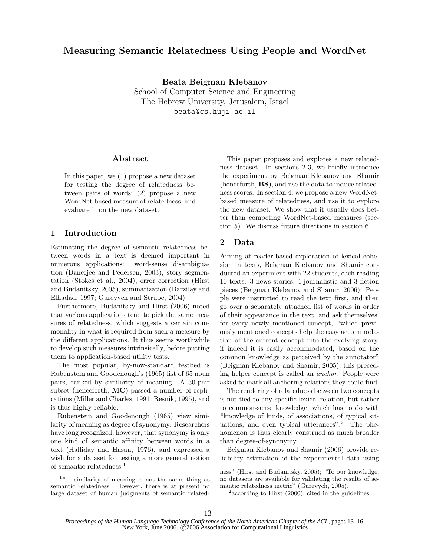# Measuring Semantic Relatedness Using People and WordNet

Beata Beigman Klebanov School of Computer Science and Engineering The Hebrew University, Jerusalem, Israel beata@cs.huji.ac.il

### Abstract

In this paper, we (1) propose a new dataset for testing the degree of relatedness between pairs of words; (2) propose a new WordNet-based measure of relatedness, and evaluate it on the new dataset.

## 1 Introduction

Estimating the degree of semantic relatedness between words in a text is deemed important in numerous applications: word-sense disambiguation (Banerjee and Pedersen, 2003), story segmentation (Stokes et al., 2004), error correction (Hirst and Budanitsky, 2005), summarization (Barzilay and Elhadad, 1997; Gurevych and Strube, 2004).

Furthermore, Budanitsky and Hirst (2006) noted that various applications tend to pick the same measures of relatedness, which suggests a certain commonality in what is required from such a measure by the different applications. It thus seems worthwhile to develop such measures intrinsically, before putting them to application-based utility tests.

The most popular, by-now-standard testbed is Rubenstein and Goodenough's (1965) list of 65 noun pairs, ranked by similarity of meaning. A 30-pair subset (henceforth, MC) passed a number of replications (Miller and Charles, 1991; Resnik, 1995), and is thus highly reliable.

Rubenstein and Goodenough (1965) view similarity of meaning as degree of synonymy. Researchers have long recognized, however, that synonymy is only one kind of semantic affinity between words in a text (Halliday and Hasan, 1976), and expressed a wish for a dataset for testing a more general notion of semantic relatedness.<sup>1</sup>

This paper proposes and explores a new relatedness dataset. In sections 2-3, we briefly introduce the experiment by Beigman Klebanov and Shamir (henceforth, BS), and use the data to induce relatedness scores. In section 4, we propose a new WordNetbased measure of relatedness, and use it to explore the new dataset. We show that it usually does better than competing WordNet-based measures (section 5). We discuss future directions in section 6.

## 2 Data

Aiming at reader-based exploration of lexical cohesion in texts, Beigman Klebanov and Shamir conducted an experiment with 22 students, each reading 10 texts: 3 news stories, 4 journalistic and 3 fiction pieces (Beigman Klebanov and Shamir, 2006). People were instructed to read the text first, and then go over a separately attached list of words in order of their appearance in the text, and ask themselves, for every newly mentioned concept, "which previously mentioned concepts help the easy accommodation of the current concept into the evolving story, if indeed it is easily accommodated, based on the common knowledge as perceived by the annotator" (Beigman Klebanov and Shamir, 2005); this preceding helper concept is called an anchor. People were asked to mark all anchoring relations they could find.

The rendering of relatedness between two concepts is not tied to any specific lexical relation, but rather to common-sense knowledge, which has to do with "knowledge of kinds, of associations, of typical situations, and even typical utterances".<sup>2</sup> The phenomenon is thus clearly construed as much broader than degree-of-synonymy.

Beigman Klebanov and Shamir (2006) provide reliability estimation of the experimental data using

<sup>&</sup>lt;sup>1</sup>"...similarity of meaning is not the same thing as semantic relatedness. However, there is at present no large dataset of human judgments of semantic related-

ness" (Hirst and Budanitsky, 2005); "To our knowledge, no datasets are available for validating the results of semantic relatedness metric" (Gurevych, 2005).

<sup>&</sup>lt;sup>2</sup> according to Hirst (2000), cited in the guidelines

*Proceedings of the Human Language Technology Conference of the North American Chapter of the ACL*, pages 13–16, New York, June 2006.  $\tilde{C}$ 2006 Association for Computational Linguistics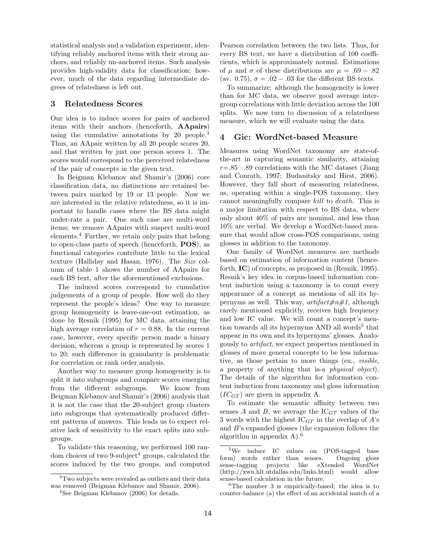statistical analysis and a validation experiment, identifying reliably anchored items with their strong anchors, and reliably un-anchored items. Such analysis provides high-validity data for classification; however, much of the data regarding intermediate degrees of relatedness is left out.

### 3 Relatedness Scores

Our idea is to induce scores for pairs of anchored items with their anchors (henceforth, AApairs) using the cumulative annotations by 20 people.<sup>3</sup> Thus, an AApair written by all 20 people scores 20, and that written by just one person scores 1. The scores would correspond to the perceived relatedness of the pair of concepts in the given text.

In Beigman Klebanov and Shamir's (2006) core classification data, no distinctions are retained between pairs marked by 19 or 13 people. Now we are interested in the relative relatedness, so it is important to handle cases where the BS data might under-rate a pair. One such case are multi-word items; we remove AApairs with suspect multi-word elements.<sup>4</sup> Further, we retain only pairs that belong to open-class parts of speech (henceforth, POS), as functional categories contribute little to the lexical texture (Halliday and Hasan, 1976). The Size column of table 1 shows the number of AApairs for each BS text, after the aforementioned exclusions.

The induced scores correspond to cumulative judgements of a group of people. How well do they represent the people's ideas? One way to measure group homogeneity is leave-one-out estimation, as done by Resnik (1995) for MC data, attaining the high average correlation of  $r = 0.88$ . In the current case, however, every specific person made a binary decision, whereas a group is represented by scores 1 to 20; such difference in granularity is problematic for correlation or rank order analysis.

Another way to measure group homogeneity is to split it into subgroups and compare scores emerging from the different subgroups. We know from Beigman Klebanov and Shamir's (2006) analysis that it is not the case that the 20-subject group clusters into subgroups that systematically produced different patterns of answers. This leads us to expect relative lack of sensitivity to the exact splits into subgroups.

To validate this reasoning, we performed 100 random choices of two 9-subject<sup>4</sup> groups, calculated the scores induced by the two groups, and computed

<sup>3</sup>Two subjects were revealed as outliers and their data was removed (Beigman Klebanov and Shamir, 2006).

Pearson correlation between the two lists. Thus, for every BS text, we have a distribution of 100 coefficients, which is approximately normal. Estimations of  $\mu$  and  $\sigma$  of these distributions are  $\mu = .69 - .82$ (av. 0.75),  $\sigma = .02 - .03$  for the different BS texts.

To summarize: although the homogeneity is lower than for MC data, we observe good average intergroup correlations with little deviation across the 100 splits. We now turn to discussion of a relatedness measure, which we will evaluate using the data.

#### 4 Gic: WordNet-based Measure

Measures using WordNet taxonomy are state-ofthe-art in capturing semantic similarity, attaining  $r=.85-.89$  correlations with the MC dataset (Jiang and Conrath, 1997; Budanitsky and Hirst, 2006). However, they fall short of measuring relatedness, as, operating within a single-POS taxonomy, they cannot meaningfully compare kill to death. This is a major limitation with respect to BS data, where only about 40% of pairs are nominal, and less than 10% are verbal. We develop a WordNet-based measure that would allow cross-POS comparisons, using glosses in addition to the taxonomy.

One family of WordNet measures are methods based on estimation of information content (henceforth, IC) of concepts, as proposed in (Resnik, 1995). Resnik's key idea in corpus-based information content induction using a taxonomy is to count every appearance of a concept as mentions of all its hypernyms as well. This way,  $artifact \#n \#1$ , although rarely mentioned explicitly, receives high frequency and low IC value. We will count a concept's mention towards all its hypernyms AND all words<sup>5</sup> that appear in its own and its hypernyms' glosses. Analogously to artifact, we expect properties mentioned in glosses of more general concepts to be less informative, as those pertain to more things (ex., visible, a property of anything that is-a physical object). The details of the algorithm for information content induction from taxonomy and gloss information  $(IC_{GT})$  are given in appendix A.

To estimate the semantic affinity between two senses A and B, we average the  $IC<sub>GT</sub>$  values of the 3 words with the highest  $IC_{GT}$  in the overlap of A's and B's expanded glosses (the expansion follows the algorithm in appendix  $A$ ).<sup>6</sup>

<sup>4</sup>See Beigman Klebanov (2006) for details.

<sup>&</sup>lt;sup>5</sup>We induce IC values on (POS-tagged base form) words rather than senses. Ongoing gloss sense-tagging projects like eXtended WordNet (http://xwn.hlt.utdallas.edu/links.html) would allow sense-based calculation in the future.

<sup>&</sup>lt;sup>6</sup>The number 3 is empirically-based; the idea is to counter-balance (a) the effect of an accidental match of a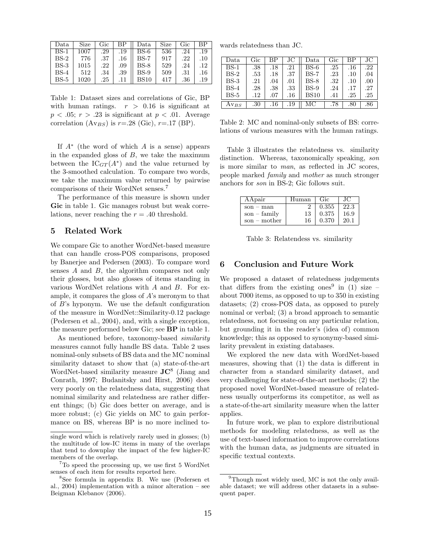| Data   | Size | Gic | ВP  | Data   | Size | Gic | ВP  |
|--------|------|-----|-----|--------|------|-----|-----|
| BS-1   | 1007 | .29 | .19 | $BS-6$ | 536  | .24 | .19 |
| $BS-2$ | 776  | .37 | .16 | $BS-7$ | 917  | .22 | .10 |
| $BS-3$ | 1015 | .22 | .09 | BS-8   | 529  | .24 | .12 |
| $BS-4$ | 512  | .34 | .39 | $BS-9$ | 509  | .31 | .16 |
| $BS-5$ | 1020 | .25 |     | BS10   | 417  | .36 | .19 |

Table 1: Dataset sizes and correlations of Gic, BP with human ratings.  $r > 0.16$  is significant at  $p < .05$ ;  $r > .23$  is significant at  $p < .01$ . Average correlation  $(Av_{BS})$  is  $r=.28$  (Gic),  $r=.17$  (BP).

If  $A^*$  (the word of which A is a sense) appears in the expanded gloss of  $B$ , we take the maximum between the  $IC_{GT}(A^*)$  and the value returned by the 3-smoothed calculation. To compare two words, we take the maximum value returned by pairwise comparisons of their WordNet senses.<sup>7</sup>

The performance of this measure is shown under Gic in table 1. Gic manages robust but weak correlations, never reaching the  $r = .40$  threshold.

### 5 Related Work

We compare Gic to another WordNet-based measure that can handle cross-POS comparisons, proposed by Banerjee and Pedersen (2003). To compare word senses A and B, the algorithm compares not only their glosses, but also glosses of items standing in various WordNet relations with A and B. For example, it compares the gloss of  $A$ 's meronym to that of B's hyponym. We use the default configuration of the measure in WordNet::Similarity-0.12 package (Pedersen et al., 2004), and, with a single exception, the measure performed below Gic; see BP in table 1.

As mentioned before, taxonomy-based similarity measures cannot fully handle BS data. Table 2 uses nominal-only subsets of BS data and the MC nominal similarity dataset to show that (a) state-of-the-art WordNet-based similarity measure  $JC^8$  (Jiang and Conrath, 1997; Budanitsky and Hirst, 2006) does very poorly on the relatedness data, suggesting that nominal similarity and relatedness are rather different things; (b) Gic does better on average, and is more robust; (c) Gic yields on MC to gain performance on BS, whereas BP is no more inclined to-

wards relatedness than JC.

| Data          | Gic | ВP  | JС      | Data        | Gic | ВP      | JC.  |
|---------------|-----|-----|---------|-------------|-----|---------|------|
| $BS-1$        | .38 | .18 | .21     | $BS-6$      | .25 | .16     | .22  |
| $BS-2$        | .53 | .18 | .37     | $BS-7$      | .23 | .10     | .04  |
| $BS-3$        | .21 | .04 | .01     | $BS-8$      | .32 | $.10\,$ | .00. |
| $BS-4$        | .28 | .38 | .33     | $BS-9$      | .24 | .17     | .27  |
| $BS-5$        | .12 | .07 | $.16\,$ | <b>BS10</b> | .41 | .25     | .25  |
| $_{\rm AVBS}$ | .30 | .16 | .19     | МC          | .78 | .80     | .86  |

Table 2: MC and nominal-only subsets of BS: correlations of various measures with the human ratings.

Table 3 illustrates the relatedness vs. similarity distinction. Whereas, taxonomically speaking, son is more similar to man, as reflected in JC scores, people marked family and mother as much stronger anchors for son in BS-2; Gic follows suit.

| AApair         | Human | Gic   | JC.  |
|----------------|-------|-------|------|
| $son - man$    |       | 0.355 | 22.3 |
| $son - family$ | 13    | 0.375 | 16.9 |
| $son - mother$ | 16    | 0.370 | 20.1 |

Table 3: Relatendess vs. similarity

### 6 Conclusion and Future Work

We proposed a dataset of relatedness judgements that differs from the existing ones<sup>9</sup> in (1) size  $$ about 7000 items, as opposed to up to 350 in existing datasets; (2) cross-POS data, as opposed to purely nominal or verbal; (3) a broad approach to semantic relatedness, not focussing on any particular relation, but grounding it in the reader's (idea of) common knowledge; this as opposed to synonymy-based similarity prevalent in existing databases.

We explored the new data with WordNet-based measures, showing that (1) the data is different in character from a standard similarity dataset, and very challenging for state-of-the-art methods; (2) the proposed novel WordNet-based measure of relatedness usually outperforms its competitor, as well as a state-of-the-art similarity measure when the latter applies.

In future work, we plan to explore distributional methods for modeling relatedness, as well as the use of text-based information to improve correlations with the human data, as judgments are situated in specific textual contexts.

single word which is relatively rarely used in glosses; (b) the multitude of low-IC items in many of the overlaps that tend to downplay the impact of the few higher-IC members of the overlap.

<sup>&</sup>lt;sup>7</sup>To speed the processing up, we use first 5 WordNet senses of each item for results reported here.

<sup>8</sup>See formula in appendix B. We use (Pedersen et al., 2004) implementation with a minor alteration – see Beigman Klebanov (2006).

 $9$ Though most widely used, MC is not the only available dataset; we will address other datasets in a subsequent paper.